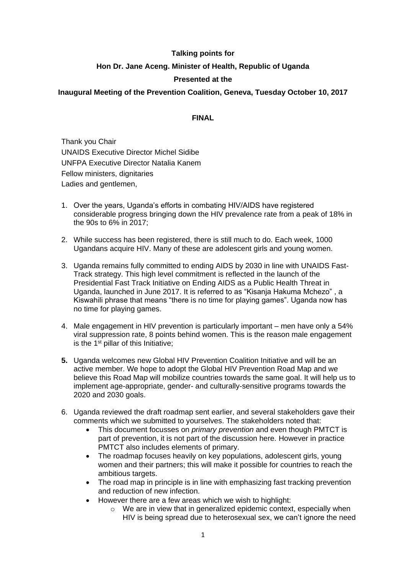### **Talking points for**

## **Hon Dr. Jane Aceng. Minister of Health, Republic of Uganda**

# **Presented at the**

### **Inaugural Meeting of the Prevention Coalition, Geneva, Tuesday October 10, 2017**

#### **FINAL**

Thank you Chair UNAIDS Executive Director Michel Sidibe UNFPA Executive Director Natalia Kanem Fellow ministers, dignitaries Ladies and gentlemen,

- 1. Over the years, Uganda's efforts in combating HIV/AIDS have registered considerable progress bringing down the HIV prevalence rate from a peak of 18% in the 90s to 6% in 2017;
- 2. While success has been registered, there is still much to do. Each week, 1000 Ugandans acquire HIV. Many of these are adolescent girls and young women.
- 3. Uganda remains fully committed to ending AIDS by 2030 in line with UNAIDS Fast-Track strategy. This high level commitment is reflected in the launch of the Presidential Fast Track Initiative on Ending AIDS as a Public Health Threat in Uganda, launched in June 2017. It is referred to as "Kisanja Hakuma Mchezo" , a Kiswahili phrase that means "there is no time for playing games". Uganda now has no time for playing games.
- 4. Male engagement in HIV prevention is particularly important men have only a 54% viral suppression rate, 8 points behind women. This is the reason male engagement is the 1<sup>st</sup> pillar of this Initiative;
- **5.** Uganda welcomes new Global HIV Prevention Coalition Initiative and will be an active member. We hope to adopt the Global HIV Prevention Road Map and we believe this Road Map will mobilize countries towards the same goal. It will help us to implement age-appropriate, gender- and culturally-sensitive programs towards the 2020 and 2030 goals.
- 6. Uganda reviewed the draft roadmap sent earlier, and several stakeholders gave their comments which we submitted to yourselves. The stakeholders noted that:
	- This document focusses on *primary prevention* and even though PMTCT is part of prevention, it is not part of the discussion here. However in practice PMTCT also includes elements of primary.
	- The roadmap focuses heavily on key populations, adolescent girls, young women and their partners; this will make it possible for countries to reach the ambitious targets.
	- The road map in principle is in line with emphasizing fast tracking prevention and reduction of new infection.
	- However there are a few areas which we wish to highlight:
		- o We are in view that in generalized epidemic context, especially when HIV is being spread due to heterosexual sex, we can't ignore the need